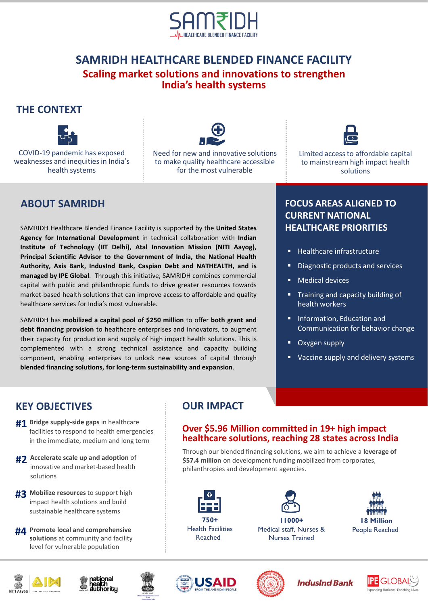

## **SAMRIDH HEALTHCARE BLENDED FINANCE FACILITY Scaling market solutions and innovations to strengthen India's health systems**

### **THE CONTEXT**



COVID-19 pandemic has exposed weaknesses and inequities in India's health systems



Need for new and innovative solutions to make quality healthcare accessible for the most vulnerable



Limited access to affordable capital to mainstream high impact health solutions

# **ABOUT SAMRIDH**

SAMRIDH Healthcare Blended Finance Facility is supported by the **United States Agency for International Development** in technical collaboration with **Indian Institute of Technology (IIT Delhi), Atal Innovation Mission (NITI Aayog), Principal Scientific Advisor to the Government of India, the National Health Authority, Axis Bank, IndusInd Bank, Caspian Debt and NATHEALTH, and is managed by IPE Global**. Through this initiative, SAMRIDH combines commercial capital with public and philanthropic funds to drive greater resources towards market-based health solutions that can improve access to affordable and quality healthcare services for India's most vulnerable.

SAMRIDH has **mobilized a capital pool of \$250 million** to offer **both grant and debt financing provision** to healthcare enterprises and innovators, to augment their capacity for production and supply of high impact health solutions. This is complemented with a strong technical assistance and capacity building component, enabling enterprises to unlock new sources of capital through **blended financing solutions, for long-term sustainability and expansion**.

### **FOCUS AREAS ALIGNED TO CURRENT NATIONAL HEALTHCARE PRIORITIES**

- Healthcare infrastructure
- Diagnostic products and services
- **Medical devices**
- **Training and capacity building of** health workers
- Information, Education and Communication for behavior change
- Oxygen supply
- Vaccine supply and delivery systems

## **KEY OBJECTIVES**

- **#1** Bridge supply-side gaps in healthcare facilities to respond to health emergencies in the immediate, medium and long term
- **#2** Accelerate scale up and adoption of innovative and market-based health solutions
- **Mobilize resources** to support high **#3** impact health solutions and build sustainable healthcare systems
- **Promote local and comprehensive #4 solutions** at community and facility level for vulnerable population

# **OUR IMPACT**

### **Over \$5.96 Million committed in 19+ high impact healthcare solutions, reaching 28 states across India**

Through our blended financing solutions, we aim to achieve a **leverage of \$57.4 million** on development funding mobilized from corporates, philanthropies and development agencies.



**750+** Health Facilities Reached









People Reached